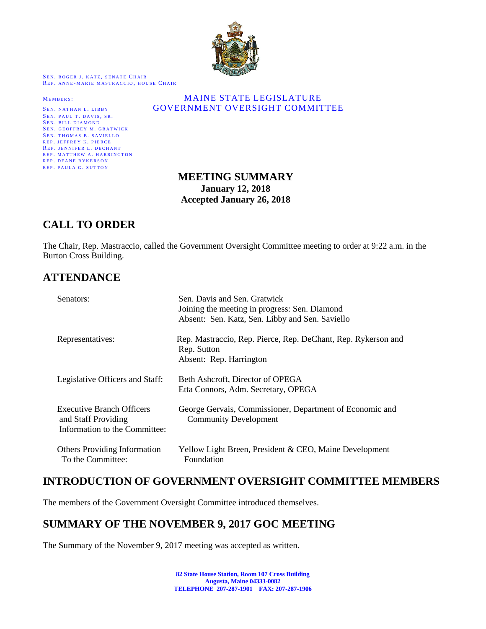

SEN. ROGER J. KATZ, SENATE CHAIR REP. ANNE-MARIE MASTRACCIO, HOUSE CHAIR

SEN. PAUL T. DAVIS, SR. SEN. BILL DIAMOND SEN. GEOFFREY M. GRATWICK SEN. THOMAS B. SAVIELLO REP. JEFFREY K. PIERCE REP. JENNIFER L. DECHANT REP. MATTHEW A. HARRINGTON REP. DEANE RYKERSON REP. PAULA G. SUTTON

### MEMBERS: MAINE STATE LEGISLATURE SEN. NATHAN L. LIBBY **GOVERNMENT OVERSIGHT COMMITTEE**

# **MEETING SUMMARY January 12, 2018 Accepted January 26, 2018**

# **CALL TO ORDER**

The Chair, Rep. Mastraccio, called the Government Oversight Committee meeting to order at 9:22 a.m. in the Burton Cross Building.

# **ATTENDANCE**

| Senators:                                                                                | Sen. Davis and Sen. Gratwick<br>Joining the meeting in progress: Sen. Diamond<br>Absent: Sen. Katz, Sen. Libby and Sen. Saviello |  |  |  |  |
|------------------------------------------------------------------------------------------|----------------------------------------------------------------------------------------------------------------------------------|--|--|--|--|
| Representatives:                                                                         | Rep. Mastraccio, Rep. Pierce, Rep. DeChant, Rep. Rykerson and<br>Rep. Sutton<br>Absent: Rep. Harrington                          |  |  |  |  |
| Legislative Officers and Staff:                                                          | Beth Ashcroft, Director of OPEGA<br>Etta Connors, Adm. Secretary, OPEGA                                                          |  |  |  |  |
| <b>Executive Branch Officers</b><br>and Staff Providing<br>Information to the Committee: | George Gervais, Commissioner, Department of Economic and<br><b>Community Development</b>                                         |  |  |  |  |
| <b>Others Providing Information</b><br>To the Committee:                                 | Yellow Light Breen, President & CEO, Maine Development<br>Foundation                                                             |  |  |  |  |

# **INTRODUCTION OF GOVERNMENT OVERSIGHT COMMITTEE MEMBERS**

The members of the Government Oversight Committee introduced themselves.

# **SUMMARY OF THE NOVEMBER 9, 2017 GOC MEETING**

The Summary of the November 9, 2017 meeting was accepted as written.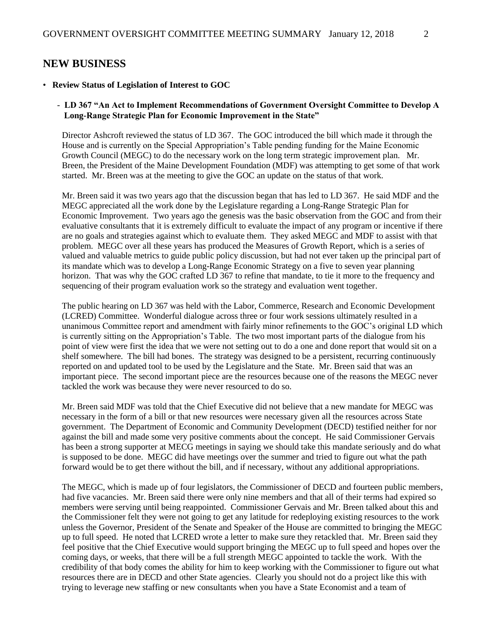## **NEW BUSINESS**

#### • **Review Status of Legislation of Interest to GOC**

### - **LD 367 "An Act to Implement Recommendations of Government Oversight Committee to Develop A Long-Range Strategic Plan for Economic Improvement in the State"**

Director Ashcroft reviewed the status of LD 367. The GOC introduced the bill which made it through the House and is currently on the Special Appropriation's Table pending funding for the Maine Economic Growth Council (MEGC) to do the necessary work on the long term strategic improvement plan. Mr. Breen, the President of the Maine Development Foundation (MDF) was attempting to get some of that work started. Mr. Breen was at the meeting to give the GOC an update on the status of that work.

Mr. Breen said it was two years ago that the discussion began that has led to LD 367. He said MDF and the MEGC appreciated all the work done by the Legislature regarding a Long-Range Strategic Plan for Economic Improvement. Two years ago the genesis was the basic observation from the GOC and from their evaluative consultants that it is extremely difficult to evaluate the impact of any program or incentive if there are no goals and strategies against which to evaluate them. They asked MEGC and MDF to assist with that problem. MEGC over all these years has produced the Measures of Growth Report, which is a series of valued and valuable metrics to guide public policy discussion, but had not ever taken up the principal part of its mandate which was to develop a Long-Range Economic Strategy on a five to seven year planning horizon. That was why the GOC crafted LD 367 to refine that mandate, to tie it more to the frequency and sequencing of their program evaluation work so the strategy and evaluation went together.

The public hearing on LD 367 was held with the Labor, Commerce, Research and Economic Development (LCRED) Committee. Wonderful dialogue across three or four work sessions ultimately resulted in a unanimous Committee report and amendment with fairly minor refinements to the GOC's original LD which is currently sitting on the Appropriation's Table. The two most important parts of the dialogue from his point of view were first the idea that we were not setting out to do a one and done report that would sit on a shelf somewhere. The bill had bones. The strategy was designed to be a persistent, recurring continuously reported on and updated tool to be used by the Legislature and the State. Mr. Breen said that was an important piece. The second important piece are the resources because one of the reasons the MEGC never tackled the work was because they were never resourced to do so.

Mr. Breen said MDF was told that the Chief Executive did not believe that a new mandate for MEGC was necessary in the form of a bill or that new resources were necessary given all the resources across State government. The Department of Economic and Community Development (DECD) testified neither for nor against the bill and made some very positive comments about the concept. He said Commissioner Gervais has been a strong supporter at MECG meetings in saying we should take this mandate seriously and do what is supposed to be done. MEGC did have meetings over the summer and tried to figure out what the path forward would be to get there without the bill, and if necessary, without any additional appropriations.

The MEGC, which is made up of four legislators, the Commissioner of DECD and fourteen public members, had five vacancies. Mr. Breen said there were only nine members and that all of their terms had expired so members were serving until being reappointed. Commissioner Gervais and Mr. Breen talked about this and the Commissioner felt they were not going to get any latitude for redeploying existing resources to the work unless the Governor, President of the Senate and Speaker of the House are committed to bringing the MEGC up to full speed. He noted that LCRED wrote a letter to make sure they retackled that. Mr. Breen said they feel positive that the Chief Executive would support bringing the MEGC up to full speed and hopes over the coming days, or weeks, that there will be a full strength MEGC appointed to tackle the work. With the credibility of that body comes the ability for him to keep working with the Commissioner to figure out what resources there are in DECD and other State agencies. Clearly you should not do a project like this with trying to leverage new staffing or new consultants when you have a State Economist and a team of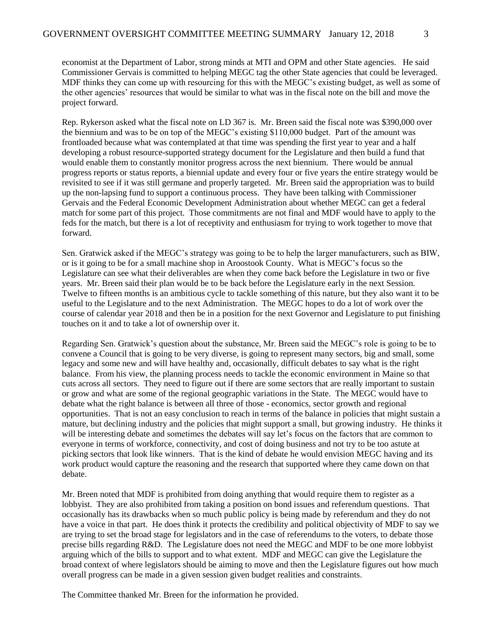economist at the Department of Labor, strong minds at MTI and OPM and other State agencies. He said Commissioner Gervais is committed to helping MEGC tag the other State agencies that could be leveraged. MDF thinks they can come up with resourcing for this with the MEGC's existing budget, as well as some of the other agencies' resources that would be similar to what was in the fiscal note on the bill and move the project forward.

Rep. Rykerson asked what the fiscal note on LD 367 is. Mr. Breen said the fiscal note was \$390,000 over the biennium and was to be on top of the MEGC's existing \$110,000 budget. Part of the amount was frontloaded because what was contemplated at that time was spending the first year to year and a half developing a robust resource-supported strategy document for the Legislature and then build a fund that would enable them to constantly monitor progress across the next biennium. There would be annual progress reports or status reports, a biennial update and every four or five years the entire strategy would be revisited to see if it was still germane and properly targeted. Mr. Breen said the appropriation was to build up the non-lapsing fund to support a continuous process. They have been talking with Commissioner Gervais and the Federal Economic Development Administration about whether MEGC can get a federal match for some part of this project. Those commitments are not final and MDF would have to apply to the feds for the match, but there is a lot of receptivity and enthusiasm for trying to work together to move that forward.

Sen. Gratwick asked if the MEGC's strategy was going to be to help the larger manufacturers, such as BIW, or is it going to be for a small machine shop in Aroostook County. What is MEGC's focus so the Legislature can see what their deliverables are when they come back before the Legislature in two or five years. Mr. Breen said their plan would be to be back before the Legislature early in the next Session. Twelve to fifteen months is an ambitious cycle to tackle something of this nature, but they also want it to be useful to the Legislature and to the next Administration. The MEGC hopes to do a lot of work over the course of calendar year 2018 and then be in a position for the next Governor and Legislature to put finishing touches on it and to take a lot of ownership over it.

Regarding Sen. Gratwick's question about the substance, Mr. Breen said the MEGC's role is going to be to convene a Council that is going to be very diverse, is going to represent many sectors, big and small, some legacy and some new and will have healthy and, occasionally, difficult debates to say what is the right balance. From his view, the planning process needs to tackle the economic environment in Maine so that cuts across all sectors. They need to figure out if there are some sectors that are really important to sustain or grow and what are some of the regional geographic variations in the State. The MEGC would have to debate what the right balance is between all three of those - economics, sector growth and regional opportunities. That is not an easy conclusion to reach in terms of the balance in policies that might sustain a mature, but declining industry and the policies that might support a small, but growing industry. He thinks it will be interesting debate and sometimes the debates will say let's focus on the factors that are common to everyone in terms of workforce, connectivity, and cost of doing business and not try to be too astute at picking sectors that look like winners. That is the kind of debate he would envision MEGC having and its work product would capture the reasoning and the research that supported where they came down on that debate.

Mr. Breen noted that MDF is prohibited from doing anything that would require them to register as a lobbyist. They are also prohibited from taking a position on bond issues and referendum questions. That occasionally has its drawbacks when so much public policy is being made by referendum and they do not have a voice in that part. He does think it protects the credibility and political objectivity of MDF to say we are trying to set the broad stage for legislators and in the case of referendums to the voters, to debate those precise bills regarding R&D. The Legislature does not need the MEGC and MDF to be one more lobbyist arguing which of the bills to support and to what extent. MDF and MEGC can give the Legislature the broad context of where legislators should be aiming to move and then the Legislature figures out how much overall progress can be made in a given session given budget realities and constraints.

The Committee thanked Mr. Breen for the information he provided.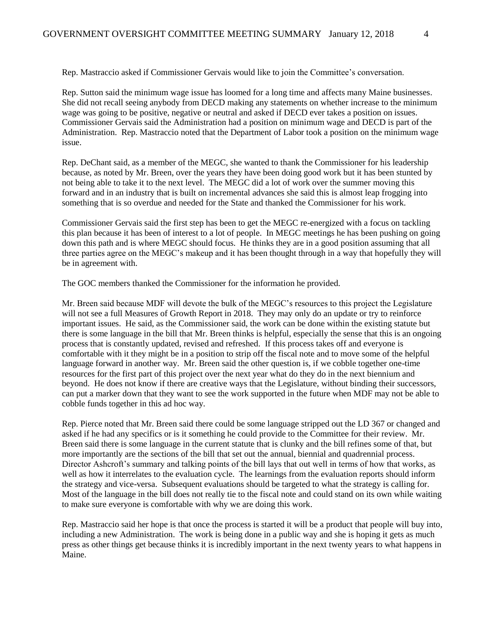Rep. Mastraccio asked if Commissioner Gervais would like to join the Committee's conversation.

Rep. Sutton said the minimum wage issue has loomed for a long time and affects many Maine businesses. She did not recall seeing anybody from DECD making any statements on whether increase to the minimum wage was going to be positive, negative or neutral and asked if DECD ever takes a position on issues. Commissioner Gervais said the Administration had a position on minimum wage and DECD is part of the Administration. Rep. Mastraccio noted that the Department of Labor took a position on the minimum wage issue.

Rep. DeChant said, as a member of the MEGC, she wanted to thank the Commissioner for his leadership because, as noted by Mr. Breen, over the years they have been doing good work but it has been stunted by not being able to take it to the next level. The MEGC did a lot of work over the summer moving this forward and in an industry that is built on incremental advances she said this is almost leap frogging into something that is so overdue and needed for the State and thanked the Commissioner for his work.

Commissioner Gervais said the first step has been to get the MEGC re-energized with a focus on tackling this plan because it has been of interest to a lot of people. In MEGC meetings he has been pushing on going down this path and is where MEGC should focus. He thinks they are in a good position assuming that all three parties agree on the MEGC's makeup and it has been thought through in a way that hopefully they will be in agreement with.

The GOC members thanked the Commissioner for the information he provided.

Mr. Breen said because MDF will devote the bulk of the MEGC's resources to this project the Legislature will not see a full Measures of Growth Report in 2018. They may only do an update or try to reinforce important issues. He said, as the Commissioner said, the work can be done within the existing statute but there is some language in the bill that Mr. Breen thinks is helpful, especially the sense that this is an ongoing process that is constantly updated, revised and refreshed. If this process takes off and everyone is comfortable with it they might be in a position to strip off the fiscal note and to move some of the helpful language forward in another way. Mr. Breen said the other question is, if we cobble together one-time resources for the first part of this project over the next year what do they do in the next biennium and beyond. He does not know if there are creative ways that the Legislature, without binding their successors, can put a marker down that they want to see the work supported in the future when MDF may not be able to cobble funds together in this ad hoc way.

Rep. Pierce noted that Mr. Breen said there could be some language stripped out the LD 367 or changed and asked if he had any specifics or is it something he could provide to the Committee for their review. Mr. Breen said there is some language in the current statute that is clunky and the bill refines some of that, but more importantly are the sections of the bill that set out the annual, biennial and quadrennial process. Director Ashcroft's summary and talking points of the bill lays that out well in terms of how that works, as well as how it interrelates to the evaluation cycle. The learnings from the evaluation reports should inform the strategy and vice-versa. Subsequent evaluations should be targeted to what the strategy is calling for. Most of the language in the bill does not really tie to the fiscal note and could stand on its own while waiting to make sure everyone is comfortable with why we are doing this work.

Rep. Mastraccio said her hope is that once the process is started it will be a product that people will buy into, including a new Administration. The work is being done in a public way and she is hoping it gets as much press as other things get because thinks it is incredibly important in the next twenty years to what happens in Maine.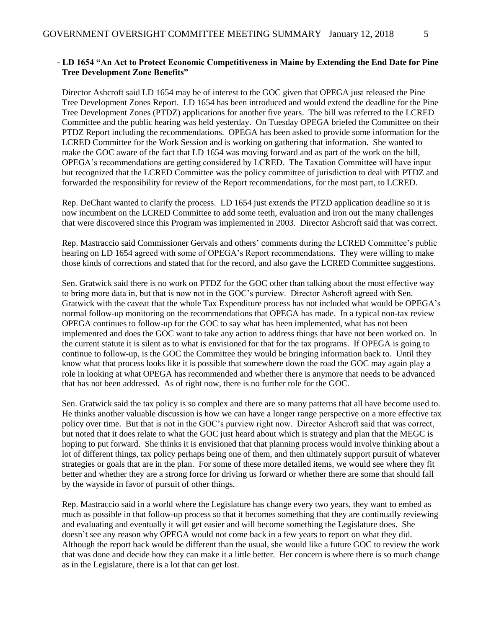#### **- LD 1654 "An Act to Protect Economic Competitiveness in Maine by Extending the End Date for Pine Tree Development Zone Benefits"**

Director Ashcroft said LD 1654 may be of interest to the GOC given that OPEGA just released the Pine Tree Development Zones Report. LD 1654 has been introduced and would extend the deadline for the Pine Tree Development Zones (PTDZ) applications for another five years. The bill was referred to the LCRED Committee and the public hearing was held yesterday. On Tuesday OPEGA briefed the Committee on their PTDZ Report including the recommendations. OPEGA has been asked to provide some information for the LCRED Committee for the Work Session and is working on gathering that information. She wanted to make the GOC aware of the fact that LD 1654 was moving forward and as part of the work on the bill, OPEGA's recommendations are getting considered by LCRED. The Taxation Committee will have input but recognized that the LCRED Committee was the policy committee of jurisdiction to deal with PTDZ and forwarded the responsibility for review of the Report recommendations, for the most part, to LCRED.

Rep. DeChant wanted to clarify the process. LD 1654 just extends the PTZD application deadline so it is now incumbent on the LCRED Committee to add some teeth, evaluation and iron out the many challenges that were discovered since this Program was implemented in 2003. Director Ashcroft said that was correct.

Rep. Mastraccio said Commissioner Gervais and others' comments during the LCRED Committee's public hearing on LD 1654 agreed with some of OPEGA's Report recommendations. They were willing to make those kinds of corrections and stated that for the record, and also gave the LCRED Committee suggestions.

Sen. Gratwick said there is no work on PTDZ for the GOC other than talking about the most effective way to bring more data in, but that is now not in the GOC's purview. Director Ashcroft agreed with Sen. Gratwick with the caveat that the whole Tax Expenditure process has not included what would be OPEGA's normal follow-up monitoring on the recommendations that OPEGA has made. In a typical non-tax review OPEGA continues to follow-up for the GOC to say what has been implemented, what has not been implemented and does the GOC want to take any action to address things that have not been worked on. In the current statute it is silent as to what is envisioned for that for the tax programs. If OPEGA is going to continue to follow-up, is the GOC the Committee they would be bringing information back to. Until they know what that process looks like it is possible that somewhere down the road the GOC may again play a role in looking at what OPEGA has recommended and whether there is anymore that needs to be advanced that has not been addressed. As of right now, there is no further role for the GOC.

Sen. Gratwick said the tax policy is so complex and there are so many patterns that all have become used to. He thinks another valuable discussion is how we can have a longer range perspective on a more effective tax policy over time. But that is not in the GOC's purview right now. Director Ashcroft said that was correct, but noted that it does relate to what the GOC just heard about which is strategy and plan that the MEGC is hoping to put forward. She thinks it is envisioned that that planning process would involve thinking about a lot of different things, tax policy perhaps being one of them, and then ultimately support pursuit of whatever strategies or goals that are in the plan. For some of these more detailed items, we would see where they fit better and whether they are a strong force for driving us forward or whether there are some that should fall by the wayside in favor of pursuit of other things.

Rep. Mastraccio said in a world where the Legislature has change every two years, they want to embed as much as possible in that follow-up process so that it becomes something that they are continually reviewing and evaluating and eventually it will get easier and will become something the Legislature does. She doesn't see any reason why OPEGA would not come back in a few years to report on what they did. Although the report back would be different than the usual, she would like a future GOC to review the work that was done and decide how they can make it a little better. Her concern is where there is so much change as in the Legislature, there is a lot that can get lost.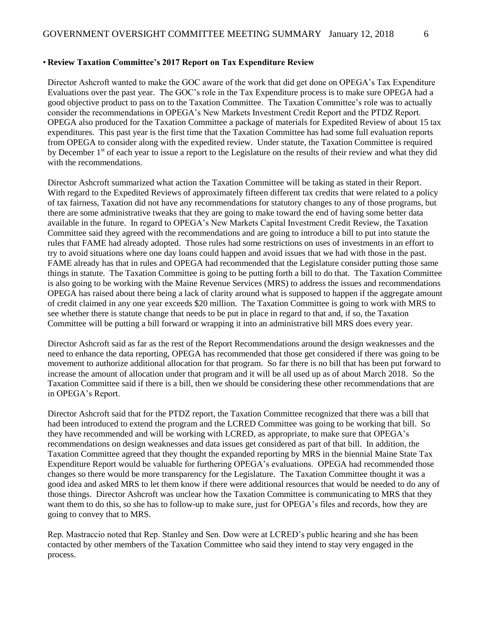#### • **Review Taxation Committee's 2017 Report on Tax Expenditure Review**

Director Ashcroft wanted to make the GOC aware of the work that did get done on OPEGA's Tax Expenditure Evaluations over the past year. The GOC's role in the Tax Expenditure process is to make sure OPEGA had a good objective product to pass on to the Taxation Committee. The Taxation Committee's role was to actually consider the recommendations in OPEGA's New Markets Investment Credit Report and the PTDZ Report. OPEGA also produced for the Taxation Committee a package of materials for Expedited Review of about 15 tax expenditures. This past year is the first time that the Taxation Committee has had some full evaluation reports from OPEGA to consider along with the expedited review. Under statute, the Taxation Committee is required by December 1<sup>st</sup> of each year to issue a report to the Legislature on the results of their review and what they did with the recommendations.

Director Ashcroft summarized what action the Taxation Committee will be taking as stated in their Report. With regard to the Expedited Reviews of approximately fifteen different tax credits that were related to a policy of tax fairness, Taxation did not have any recommendations for statutory changes to any of those programs, but there are some administrative tweaks that they are going to make toward the end of having some better data available in the future. In regard to OPEGA's New Markets Capital Investment Credit Review, the Taxation Committee said they agreed with the recommendations and are going to introduce a bill to put into statute the rules that FAME had already adopted. Those rules had some restrictions on uses of investments in an effort to try to avoid situations where one day loans could happen and avoid issues that we had with those in the past. FAME already has that in rules and OPEGA had recommended that the Legislature consider putting those same things in statute. The Taxation Committee is going to be putting forth a bill to do that. The Taxation Committee is also going to be working with the Maine Revenue Services (MRS) to address the issues and recommendations OPEGA has raised about there being a lack of clarity around what is supposed to happen if the aggregate amount of credit claimed in any one year exceeds \$20 million. The Taxation Committee is going to work with MRS to see whether there is statute change that needs to be put in place in regard to that and, if so, the Taxation Committee will be putting a bill forward or wrapping it into an administrative bill MRS does every year.

Director Ashcroft said as far as the rest of the Report Recommendations around the design weaknesses and the need to enhance the data reporting, OPEGA has recommended that those get considered if there was going to be movement to authorize additional allocation for that program. So far there is no bill that has been put forward to increase the amount of allocation under that program and it will be all used up as of about March 2018. So the Taxation Committee said if there is a bill, then we should be considering these other recommendations that are in OPEGA's Report.

Director Ashcroft said that for the PTDZ report, the Taxation Committee recognized that there was a bill that had been introduced to extend the program and the LCRED Committee was going to be working that bill. So they have recommended and will be working with LCRED, as appropriate, to make sure that OPEGA's recommendations on design weaknesses and data issues get considered as part of that bill. In addition, the Taxation Committee agreed that they thought the expanded reporting by MRS in the biennial Maine State Tax Expenditure Report would be valuable for furthering OPEGA's evaluations. OPEGA had recommended those changes so there would be more transparency for the Legislature. The Taxation Committee thought it was a good idea and asked MRS to let them know if there were additional resources that would be needed to do any of those things. Director Ashcroft was unclear how the Taxation Committee is communicating to MRS that they want them to do this, so she has to follow-up to make sure, just for OPEGA's files and records, how they are going to convey that to MRS.

Rep. Mastraccio noted that Rep. Stanley and Sen. Dow were at LCRED's public hearing and she has been contacted by other members of the Taxation Committee who said they intend to stay very engaged in the process.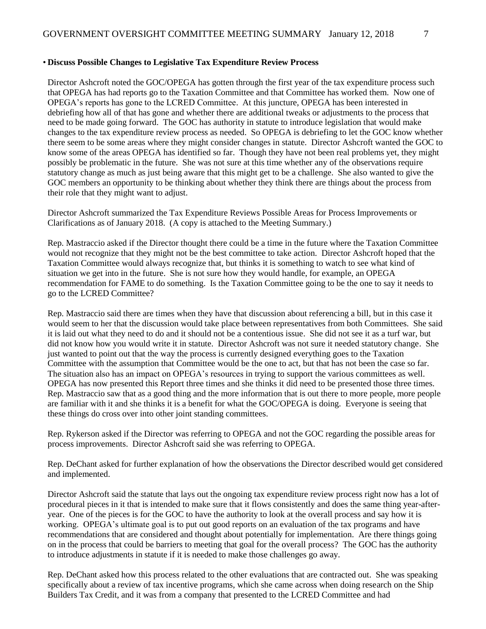#### • **Discuss Possible Changes to Legislative Tax Expenditure Review Process**

Director Ashcroft noted the GOC/OPEGA has gotten through the first year of the tax expenditure process such that OPEGA has had reports go to the Taxation Committee and that Committee has worked them. Now one of OPEGA's reports has gone to the LCRED Committee. At this juncture, OPEGA has been interested in debriefing how all of that has gone and whether there are additional tweaks or adjustments to the process that need to be made going forward. The GOC has authority in statute to introduce legislation that would make changes to the tax expenditure review process as needed. So OPEGA is debriefing to let the GOC know whether there seem to be some areas where they might consider changes in statute. Director Ashcroft wanted the GOC to know some of the areas OPEGA has identified so far. Though they have not been real problems yet, they might possibly be problematic in the future. She was not sure at this time whether any of the observations require statutory change as much as just being aware that this might get to be a challenge. She also wanted to give the GOC members an opportunity to be thinking about whether they think there are things about the process from their role that they might want to adjust.

Director Ashcroft summarized the Tax Expenditure Reviews Possible Areas for Process Improvements or Clarifications as of January 2018. (A copy is attached to the Meeting Summary.)

Rep. Mastraccio asked if the Director thought there could be a time in the future where the Taxation Committee would not recognize that they might not be the best committee to take action. Director Ashcroft hoped that the Taxation Committee would always recognize that, but thinks it is something to watch to see what kind of situation we get into in the future. She is not sure how they would handle, for example, an OPEGA recommendation for FAME to do something. Is the Taxation Committee going to be the one to say it needs to go to the LCRED Committee?

Rep. Mastraccio said there are times when they have that discussion about referencing a bill, but in this case it would seem to her that the discussion would take place between representatives from both Committees. She said it is laid out what they need to do and it should not be a contentious issue. She did not see it as a turf war, but did not know how you would write it in statute. Director Ashcroft was not sure it needed statutory change. She just wanted to point out that the way the process is currently designed everything goes to the Taxation Committee with the assumption that Committee would be the one to act, but that has not been the case so far. The situation also has an impact on OPEGA's resources in trying to support the various committees as well. OPEGA has now presented this Report three times and she thinks it did need to be presented those three times. Rep. Mastraccio saw that as a good thing and the more information that is out there to more people, more people are familiar with it and she thinks it is a benefit for what the GOC/OPEGA is doing. Everyone is seeing that these things do cross over into other joint standing committees.

Rep. Rykerson asked if the Director was referring to OPEGA and not the GOC regarding the possible areas for process improvements. Director Ashcroft said she was referring to OPEGA.

Rep. DeChant asked for further explanation of how the observations the Director described would get considered and implemented.

Director Ashcroft said the statute that lays out the ongoing tax expenditure review process right now has a lot of procedural pieces in it that is intended to make sure that it flows consistently and does the same thing year-afteryear. One of the pieces is for the GOC to have the authority to look at the overall process and say how it is working. OPEGA's ultimate goal is to put out good reports on an evaluation of the tax programs and have recommendations that are considered and thought about potentially for implementation. Are there things going on in the process that could be barriers to meeting that goal for the overall process? The GOC has the authority to introduce adjustments in statute if it is needed to make those challenges go away.

Rep. DeChant asked how this process related to the other evaluations that are contracted out. She was speaking specifically about a review of tax incentive programs, which she came across when doing research on the Ship Builders Tax Credit, and it was from a company that presented to the LCRED Committee and had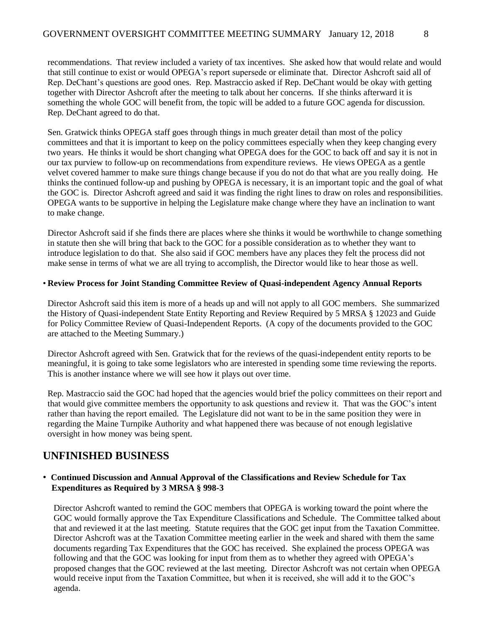recommendations. That review included a variety of tax incentives. She asked how that would relate and would that still continue to exist or would OPEGA's report supersede or eliminate that. Director Ashcroft said all of Rep. DeChant's questions are good ones. Rep. Mastraccio asked if Rep. DeChant would be okay with getting together with Director Ashcroft after the meeting to talk about her concerns. If she thinks afterward it is something the whole GOC will benefit from, the topic will be added to a future GOC agenda for discussion. Rep. DeChant agreed to do that.

Sen. Gratwick thinks OPEGA staff goes through things in much greater detail than most of the policy committees and that it is important to keep on the policy committees especially when they keep changing every two years. He thinks it would be short changing what OPEGA does for the GOC to back off and say it is not in our tax purview to follow-up on recommendations from expenditure reviews. He views OPEGA as a gentle velvet covered hammer to make sure things change because if you do not do that what are you really doing. He thinks the continued follow-up and pushing by OPEGA is necessary, it is an important topic and the goal of what the GOC is. Director Ashcroft agreed and said it was finding the right lines to draw on roles and responsibilities. OPEGA wants to be supportive in helping the Legislature make change where they have an inclination to want to make change.

Director Ashcroft said if she finds there are places where she thinks it would be worthwhile to change something in statute then she will bring that back to the GOC for a possible consideration as to whether they want to introduce legislation to do that. She also said if GOC members have any places they felt the process did not make sense in terms of what we are all trying to accomplish, the Director would like to hear those as well.

#### • **Review Process for Joint Standing Committee Review of Quasi-independent Agency Annual Reports**

Director Ashcroft said this item is more of a heads up and will not apply to all GOC members. She summarized the History of Quasi-independent State Entity Reporting and Review Required by 5 MRSA § 12023 and Guide for Policy Committee Review of Quasi-Independent Reports. (A copy of the documents provided to the GOC are attached to the Meeting Summary.)

Director Ashcroft agreed with Sen. Gratwick that for the reviews of the quasi-independent entity reports to be meaningful, it is going to take some legislators who are interested in spending some time reviewing the reports. This is another instance where we will see how it plays out over time.

Rep. Mastraccio said the GOC had hoped that the agencies would brief the policy committees on their report and that would give committee members the opportunity to ask questions and review it. That was the GOC's intent rather than having the report emailed. The Legislature did not want to be in the same position they were in regarding the Maine Turnpike Authority and what happened there was because of not enough legislative oversight in how money was being spent.

# **UNFINISHED BUSINESS**

#### • **Continued Discussion and Annual Approval of the Classifications and Review Schedule for Tax Expenditures as Required by 3 MRSA § 998-3**

Director Ashcroft wanted to remind the GOC members that OPEGA is working toward the point where the GOC would formally approve the Tax Expenditure Classifications and Schedule. The Committee talked about that and reviewed it at the last meeting. Statute requires that the GOC get input from the Taxation Committee. Director Ashcroft was at the Taxation Committee meeting earlier in the week and shared with them the same documents regarding Tax Expenditures that the GOC has received. She explained the process OPEGA was following and that the GOC was looking for input from them as to whether they agreed with OPEGA's proposed changes that the GOC reviewed at the last meeting. Director Ashcroft was not certain when OPEGA would receive input from the Taxation Committee, but when it is received, she will add it to the GOC's agenda.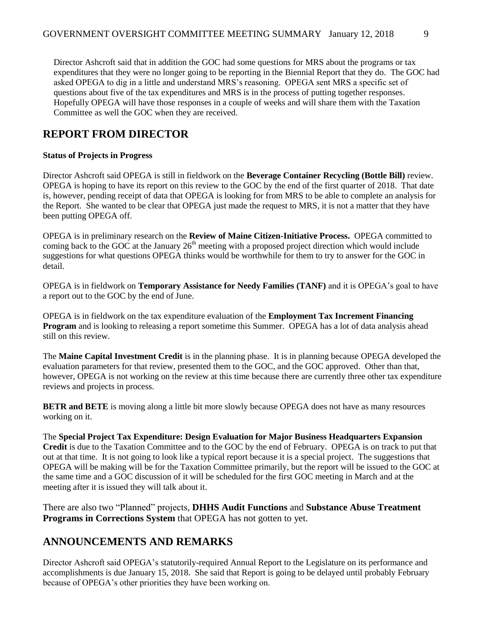Director Ashcroft said that in addition the GOC had some questions for MRS about the programs or tax expenditures that they were no longer going to be reporting in the Biennial Report that they do. The GOC had asked OPEGA to dig in a little and understand MRS's reasoning. OPEGA sent MRS a specific set of questions about five of the tax expenditures and MRS is in the process of putting together responses. Hopefully OPEGA will have those responses in a couple of weeks and will share them with the Taxation Committee as well the GOC when they are received.

# **REPORT FROM DIRECTOR**

### **Status of Projects in Progress**

Director Ashcroft said OPEGA is still in fieldwork on the **Beverage Container Recycling (Bottle Bill)** review. OPEGA is hoping to have its report on this review to the GOC by the end of the first quarter of 2018. That date is, however, pending receipt of data that OPEGA is looking for from MRS to be able to complete an analysis for the Report. She wanted to be clear that OPEGA just made the request to MRS, it is not a matter that they have been putting OPEGA off.

OPEGA is in preliminary research on the **Review of Maine Citizen-Initiative Process.** OPEGA committed to coming back to the GOC at the January  $26<sup>th</sup>$  meeting with a proposed project direction which would include suggestions for what questions OPEGA thinks would be worthwhile for them to try to answer for the GOC in detail.

OPEGA is in fieldwork on **Temporary Assistance for Needy Families (TANF)** and it is OPEGA's goal to have a report out to the GOC by the end of June.

OPEGA is in fieldwork on the tax expenditure evaluation of the **Employment Tax Increment Financing Program** and is looking to releasing a report sometime this Summer. OPEGA has a lot of data analysis ahead still on this review.

The **Maine Capital Investment Credit** is in the planning phase. It is in planning because OPEGA developed the evaluation parameters for that review, presented them to the GOC, and the GOC approved. Other than that, however, OPEGA is not working on the review at this time because there are currently three other tax expenditure reviews and projects in process.

**BETR and BETE** is moving along a little bit more slowly because OPEGA does not have as many resources working on it.

The **Special Project Tax Expenditure: Design Evaluation for Major Business Headquarters Expansion Credit** is due to the Taxation Committee and to the GOC by the end of February. OPEGA is on track to put that out at that time. It is not going to look like a typical report because it is a special project. The suggestions that OPEGA will be making will be for the Taxation Committee primarily, but the report will be issued to the GOC at the same time and a GOC discussion of it will be scheduled for the first GOC meeting in March and at the meeting after it is issued they will talk about it.

There are also two "Planned" projects, **DHHS Audit Functions** and **Substance Abuse Treatment Programs in Corrections System** that OPEGA has not gotten to yet.

# **ANNOUNCEMENTS AND REMARKS**

Director Ashcroft said OPEGA's statutorily-required Annual Report to the Legislature on its performance and accomplishments is due January 15, 2018. She said that Report is going to be delayed until probably February because of OPEGA's other priorities they have been working on.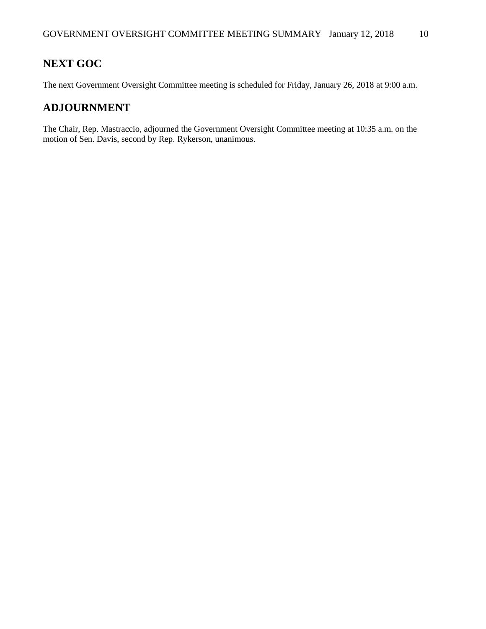# **NEXT GOC**

The next Government Oversight Committee meeting is scheduled for Friday, January 26, 2018 at 9:00 a.m.

# **ADJOURNMENT**

The Chair, Rep. Mastraccio, adjourned the Government Oversight Committee meeting at 10:35 a.m. on the motion of Sen. Davis, second by Rep. Rykerson, unanimous.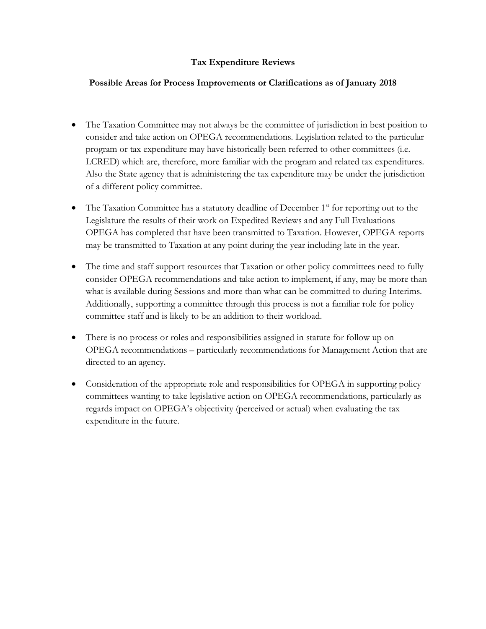# **Tax Expenditure Reviews**

### **Possible Areas for Process Improvements or Clarifications as of January 2018**

- The Taxation Committee may not always be the committee of jurisdiction in best position to consider and take action on OPEGA recommendations. Legislation related to the particular program or tax expenditure may have historically been referred to other committees (i.e. LCRED) which are, therefore, more familiar with the program and related tax expenditures. Also the State agency that is administering the tax expenditure may be under the jurisdiction of a different policy committee.
- $\bullet$  The Taxation Committee has a statutory deadline of December 1<sup>st</sup> for reporting out to the Legislature the results of their work on Expedited Reviews and any Full Evaluations OPEGA has completed that have been transmitted to Taxation. However, OPEGA reports may be transmitted to Taxation at any point during the year including late in the year.
- The time and staff support resources that Taxation or other policy committees need to fully consider OPEGA recommendations and take action to implement, if any, may be more than what is available during Sessions and more than what can be committed to during Interims. Additionally, supporting a committee through this process is not a familiar role for policy committee staff and is likely to be an addition to their workload.
- There is no process or roles and responsibilities assigned in statute for follow up on OPEGA recommendations – particularly recommendations for Management Action that are directed to an agency.
- Consideration of the appropriate role and responsibilities for OPEGA in supporting policy committees wanting to take legislative action on OPEGA recommendations, particularly as regards impact on OPEGA's objectivity (perceived or actual) when evaluating the tax expenditure in the future.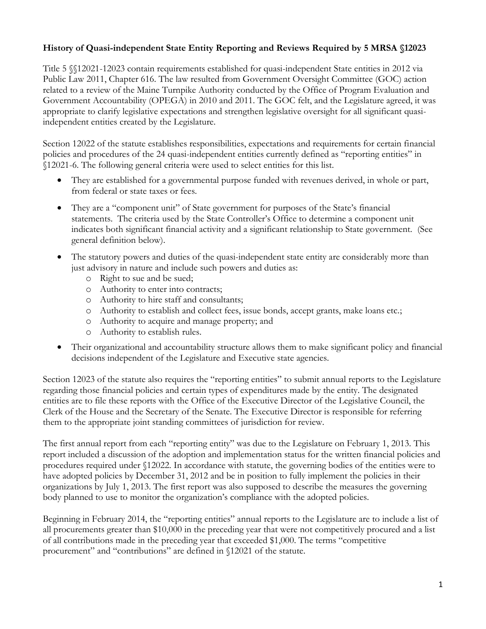# **History of Quasi-independent State Entity Reporting and Reviews Required by 5 MRSA §12023**

Title 5 §§12021-12023 contain requirements established for quasi-independent State entities in 2012 via Public Law 2011, Chapter 616. The law resulted from Government Oversight Committee (GOC) action related to a review of the Maine Turnpike Authority conducted by the Office of Program Evaluation and Government Accountability (OPEGA) in 2010 and 2011. The GOC felt, and the Legislature agreed, it was appropriate to clarify legislative expectations and strengthen legislative oversight for all significant quasiindependent entities created by the Legislature.

Section 12022 of the statute establishes responsibilities, expectations and requirements for certain financial policies and procedures of the 24 quasi-independent entities currently defined as "reporting entities" in §12021-6. The following general criteria were used to select entities for this list.

- They are established for a governmental purpose funded with revenues derived, in whole or part, from federal or state taxes or fees.
- They are a "component unit" of State government for purposes of the State's financial statements. The criteria used by the State Controller's Office to determine a component unit indicates both significant financial activity and a significant relationship to State government. (See general definition below).
- The statutory powers and duties of the quasi-independent state entity are considerably more than just advisory in nature and include such powers and duties as:
	- o Right to sue and be sued;
	- o Authority to enter into contracts;
	- o Authority to hire staff and consultants;
	- o Authority to establish and collect fees, issue bonds, accept grants, make loans etc.;
	- o Authority to acquire and manage property; and
	- o Authority to establish rules.
- Their organizational and accountability structure allows them to make significant policy and financial decisions independent of the Legislature and Executive state agencies.

Section 12023 of the statute also requires the "reporting entities" to submit annual reports to the Legislature regarding those financial policies and certain types of expenditures made by the entity. The designated entities are to file these reports with the Office of the Executive Director of the Legislative Council, the Clerk of the House and the Secretary of the Senate. The Executive Director is responsible for referring them to the appropriate joint standing committees of jurisdiction for review.

The first annual report from each "reporting entity" was due to the Legislature on February 1, 2013. This report included a discussion of the adoption and implementation status for the written financial policies and procedures required under §12022. In accordance with statute, the governing bodies of the entities were to have adopted policies by December 31, 2012 and be in position to fully implement the policies in their organizations by July 1, 2013. The first report was also supposed to describe the measures the governing body planned to use to monitor the organization's compliance with the adopted policies.

Beginning in February 2014, the "reporting entities" annual reports to the Legislature are to include a list of all procurements greater than \$10,000 in the preceding year that were not competitively procured and a list of all contributions made in the preceding year that exceeded \$1,000. The terms "competitive procurement" and "contributions" are defined in §12021 of the statute.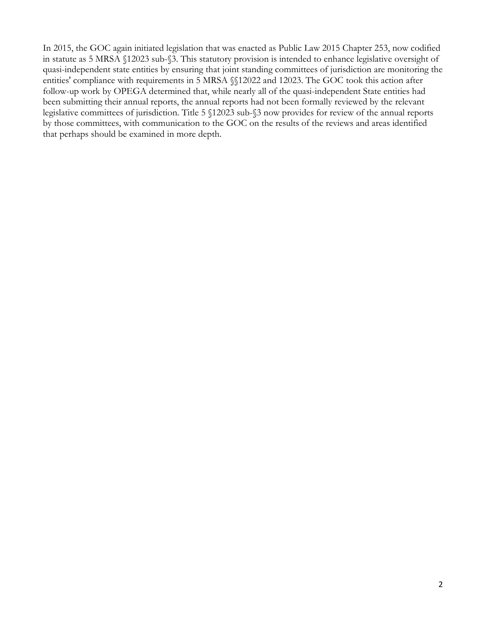In 2015, the GOC again initiated legislation that was enacted as Public Law 2015 Chapter 253, now codified in statute as 5 MRSA §12023 sub-§3. This statutory provision is intended to enhance legislative oversight of quasi-independent state entities by ensuring that joint standing committees of jurisdiction are monitoring the entities' compliance with requirements in 5 MRSA §§12022 and 12023. The GOC took this action after follow-up work by OPEGA determined that, while nearly all of the quasi-independent State entities had been submitting their annual reports, the annual reports had not been formally reviewed by the relevant legislative committees of jurisdiction. Title 5 §12023 sub-§3 now provides for review of the annual reports by those committees, with communication to the GOC on the results of the reviews and areas identified that perhaps should be examined in more depth.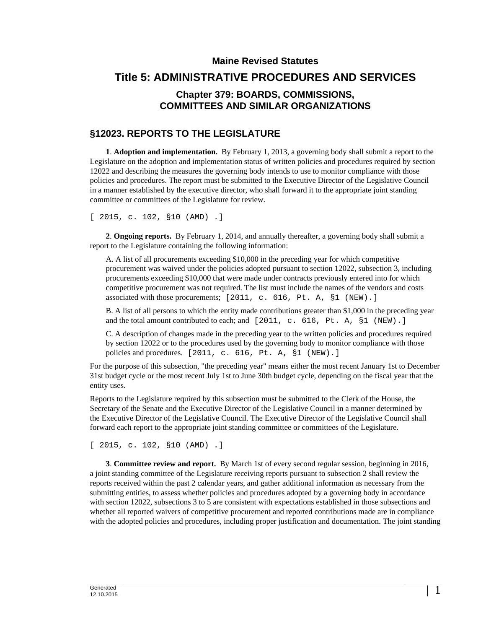# **Maine Revised Statutes Title 5: ADMINISTRATIVE PROCEDURES AND SERVICES Chapter 379: BOARDS, COMMISSIONS, COMMITTEES AND SIMILAR ORGANIZATIONS**

# **§12023. REPORTS TO THE LEGISLATURE**

**1**. **Adoption and implementation.** By February 1, 2013, a governing body shall submit a report to the Legislature on the adoption and implementation status of written policies and procedures required by section 12022 and describing the measures the governing body intends to use to monitor compliance with those policies and procedures. The report must be submitted to the Executive Director of the Legislative Council in a manner established by the executive director, who shall forward it to the appropriate joint standing committee or committees of the Legislature for review.

[ 2015, c. 102, §10 (AMD) .]

**2**. **Ongoing reports.** By February 1, 2014, and annually thereafter, a governing body shall submit a report to the Legislature containing the following information:

A. A list of all procurements exceeding \$10,000 in the preceding year for which competitive procurement was waived under the policies adopted pursuant to section 12022, subsection 3, including procurements exceeding \$10,000 that were made under contracts previously entered into for which competitive procurement was not required. The list must include the names of the vendors and costs associated with those procurements; [2011, c. 616, Pt. A, §1 (NEW).]

B. A list of all persons to which the entity made contributions greater than \$1,000 in the preceding year and the total amount contributed to each; and  $[2011, c. 616, Pt. A, §1 (NEW).]$ 

C. A description of changes made in the preceding year to the written policies and procedures required by section 12022 or to the procedures used by the governing body to monitor compliance with those policies and procedures. [2011, c. 616, Pt. A, §1 (NEW).]

For the purpose of this subsection, "the preceding year" means either the most recent January 1st to December 31st budget cycle or the most recent July 1st to June 30th budget cycle, depending on the fiscal year that the entity uses.

Reports to the Legislature required by this subsection must be submitted to the Clerk of the House, the Secretary of the Senate and the Executive Director of the Legislative Council in a manner determined by the Executive Director of the Legislative Council. The Executive Director of the Legislative Council shall forward each report to the appropriate joint standing committee or committees of the Legislature.

[ 2015, c. 102, §10 (AMD) .]

**3**. **Committee review and report.** By March 1st of every second regular session, beginning in 2016, a joint standing committee of the Legislature receiving reports pursuant to subsection 2 shall review the reports received within the past 2 calendar years, and gather additional information as necessary from the submitting entities, to assess whether policies and procedures adopted by a governing body in accordance with section 12022, subsections 3 to 5 are consistent with expectations established in those subsections and whether all reported waivers of competitive procurement and reported contributions made are in compliance with the adopted policies and procedures, including proper justification and documentation. The joint standing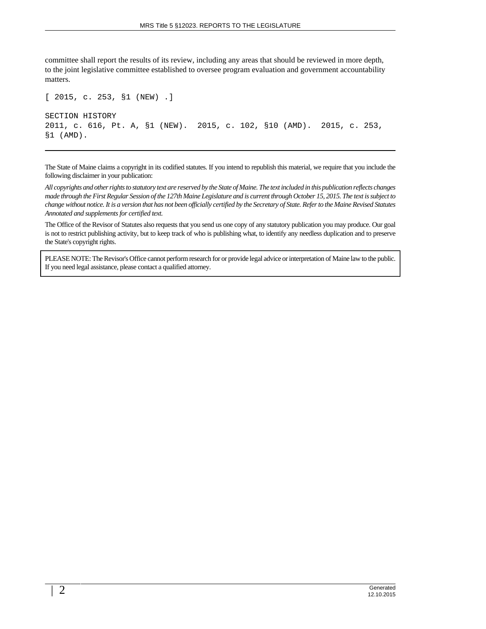committee shall report the results of its review, including any areas that should be reviewed in more depth, to the joint legislative committee established to oversee program evaluation and government accountability matters.

```
[ 2015, c. 253, §1 (NEW) .]
SECTION HISTORY
2011, c. 616, Pt. A, §1 (NEW). 2015, c. 102, §10 (AMD). 2015, c. 253,
§1 (AMD).
```
The State of Maine claims a copyright in its codified statutes. If you intend to republish this material, we require that you include the following disclaimer in your publication:

*All copyrights and other rights to statutory text are reserved by the State of Maine. The text included in this publication reflects changes made through the First Regular Session of the 127th Maine Legislature and is current through October 15, 2015. The text is subject to change without notice. It is a version that has not been officially certified by the Secretary of State. Refer to the Maine Revised Statutes Annotated and supplements for certified text.*

The Office of the Revisor of Statutes also requests that you send us one copy of any statutory publication you may produce. Our goal is not to restrict publishing activity, but to keep track of who is publishing what, to identify any needless duplication and to preserve the State's copyright rights.

PLEASE NOTE: The Revisor's Office cannot perform research for or provide legal advice or interpretation of Maine law to the public. If you need legal assistance, please contact a qualified attorney.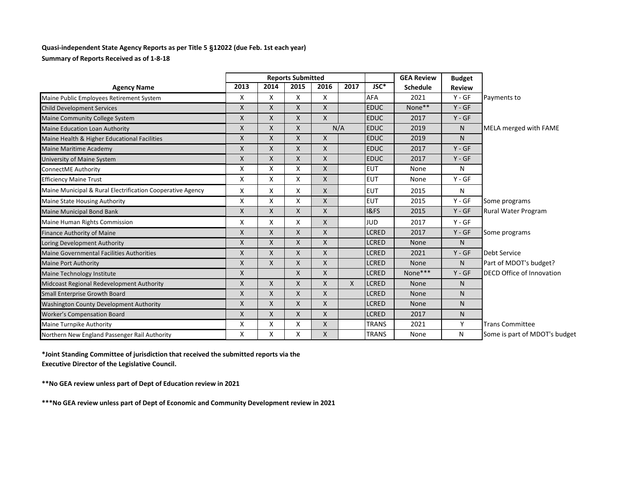#### **Quasi-independent State Agency Reports as per Title 5** §**12022 (due Feb. 1st each year) Summary of Reports Received as of 1-8-18**

|                                                            | <b>Reports Submitted</b> |      |              |              |                           |                 | <b>GEA Review</b> | <b>Budget</b> |                                  |
|------------------------------------------------------------|--------------------------|------|--------------|--------------|---------------------------|-----------------|-------------------|---------------|----------------------------------|
| <b>Agency Name</b>                                         | 2013                     | 2014 | 2015         | 2016         | 2017                      | JSC*            | <b>Schedule</b>   | <b>Review</b> |                                  |
| Maine Public Employees Retirement System                   | X                        | X    | X            | X            |                           | <b>AFA</b>      | 2021              | $Y - GF$      | Payments to                      |
| <b>Child Development Services</b>                          | $\mathsf{X}$             | X    | X            | $\mathsf{X}$ |                           | <b>EDUC</b>     | None**            | $Y - GF$      |                                  |
| Maine Community College System                             | X                        | X    | X            | X            |                           | <b>EDUC</b>     | 2017              | $Y - GF$      |                                  |
| Maine Education Loan Authority                             | X                        | X    | X            |              | N/A                       | <b>EDUC</b>     | 2019              | N             | MELA merged with FAME            |
| Maine Health & Higher Educational Facilities               | X                        | X    | X            | X            |                           | <b>EDUC</b>     | 2019              | N             |                                  |
| Maine Maritime Academy                                     | X                        | Χ    | X            | X            |                           | <b>EDUC</b>     | 2017              | $Y - GF$      |                                  |
| University of Maine System                                 | $\mathsf{X}$             | X    | X            | $\mathsf{X}$ |                           | <b>EDUC</b>     | 2017              | $Y - GF$      |                                  |
| ConnectME Authority                                        | X                        | X    | X            | X            |                           | <b>EUT</b>      | None              | N             |                                  |
| <b>Efficiency Maine Trust</b>                              | X                        | X    | X            | $\mathsf{X}$ |                           | <b>EUT</b>      | None              | $Y - GF$      |                                  |
| Maine Municipal & Rural Electrification Cooperative Agency | X                        | X    | X            | $\mathsf{X}$ |                           | <b>EUT</b>      | 2015              | N             |                                  |
| Maine State Housing Authority                              | X                        | Χ    | X            | $\mathsf{X}$ |                           | <b>EUT</b>      | 2015              | $Y - GF$      | Some programs                    |
| Maine Municipal Bond Bank                                  | $\mathsf{x}$             | X    | X            | $\mathsf{X}$ |                           | <b>I&amp;FS</b> | 2015              | $Y - GF$      | <b>Rural Water Program</b>       |
| Maine Human Rights Commission                              | X                        | X    | X            | $\mathsf{X}$ |                           | <b>JUD</b>      | 2017              | $Y - GF$      |                                  |
| Finance Authority of Maine                                 | $\mathsf{X}$             | X    | X            | X            |                           | <b>LCRED</b>    | 2017              | $Y - GF$      | Some programs                    |
| Loring Development Authority                               | $\mathsf{X}$             | X    | X            | $\mathsf{X}$ |                           | <b>LCRED</b>    | None              | N             |                                  |
| <b>Maine Governmental Facilities Authorities</b>           | X                        | X    | X            | X            |                           | <b>LCRED</b>    | 2021              | $Y - GF$      | Debt Service                     |
| <b>Maine Port Authority</b>                                | X                        | X    | X            | X            |                           | <b>LCRED</b>    | None              | N.            | Part of MDOT's budget?           |
| Maine Technology Institute                                 | X                        |      | X            | X            |                           | <b>LCRED</b>    | None***           | $Y - GF$      | <b>DECD Office of Innovation</b> |
| Midcoast Regional Redevelopment Authority                  | X                        | X    | X            | X            | $\boldsymbol{\mathsf{X}}$ | <b>LCRED</b>    | <b>None</b>       | N             |                                  |
| Small Enterprise Growth Board                              | $\mathsf{x}$             | X    | X            | X            |                           | <b>LCRED</b>    | None              | N.            |                                  |
| Washington County Development Authority                    | X                        | X    | X            | X            |                           | <b>LCRED</b>    | None              | N.            |                                  |
| <b>Worker's Compensation Board</b>                         | $\mathsf{X}$             | X    | $\mathsf{X}$ | $\mathsf{X}$ |                           | <b>LCRED</b>    | 2017              | N             |                                  |
| Maine Turnpike Authority                                   | Χ                        | Χ    | Χ            | X            |                           | <b>TRANS</b>    | 2021              | Y             | <b>Trans Committee</b>           |
| Northern New England Passenger Rail Authority              | X                        | X    | X            | X            |                           | <b>TRANS</b>    | None              | N             | Some is part of MDOT's budget    |

**\*Joint Standing Committee of jurisdiction that received the submitted reports via the Executive Director of the Legislative Council.**

**\*\*No GEA review unless part of Dept of Education review in 2021**

**\*\*\*No GEA review unless part of Dept of Economic and Community Development review in 2021**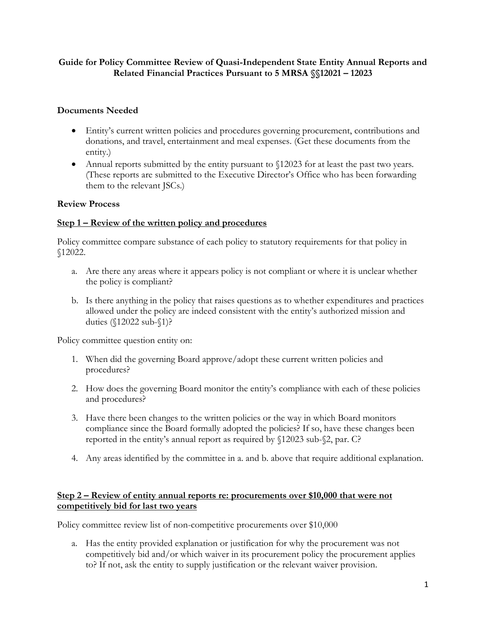# **Guide for Policy Committee Review of Quasi-Independent State Entity Annual Reports and Related Financial Practices Pursuant to 5 MRSA §§12021 – 12023**

## **Documents Needed**

- Entity's current written policies and procedures governing procurement, contributions and donations, and travel, entertainment and meal expenses. (Get these documents from the entity.)
- Annual reports submitted by the entity pursuant to  $$12023$  for at least the past two years. (These reports are submitted to the Executive Director's Office who has been forwarding them to the relevant JSCs.)

### **Review Process**

## **Step 1 – Review of the written policy and procedures**

Policy committee compare substance of each policy to statutory requirements for that policy in §12022.

- a. Are there any areas where it appears policy is not compliant or where it is unclear whether the policy is compliant?
- b. Is there anything in the policy that raises questions as to whether expenditures and practices allowed under the policy are indeed consistent with the entity's authorized mission and duties (§12022 sub-§1)?

Policy committee question entity on:

- 1. When did the governing Board approve/adopt these current written policies and procedures?
- 2. How does the governing Board monitor the entity's compliance with each of these policies and procedures?
- 3. Have there been changes to the written policies or the way in which Board monitors compliance since the Board formally adopted the policies? If so, have these changes been reported in the entity's annual report as required by §12023 sub-§2, par. C?
- 4. Any areas identified by the committee in a. and b. above that require additional explanation.

# **Step 2 – Review of entity annual reports re: procurements over \$10,000 that were not competitively bid for last two years**

Policy committee review list of non-competitive procurements over \$10,000

a. Has the entity provided explanation or justification for why the procurement was not competitively bid and/or which waiver in its procurement policy the procurement applies to? If not, ask the entity to supply justification or the relevant waiver provision.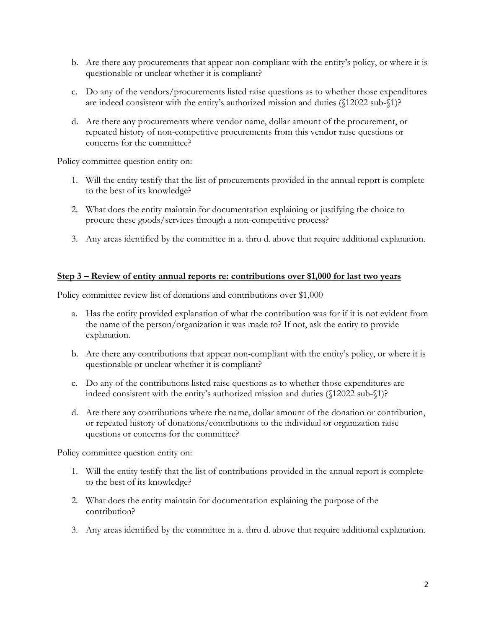- b. Are there any procurements that appear non-compliant with the entity's policy, or where it is questionable or unclear whether it is compliant?
- c. Do any of the vendors/procurements listed raise questions as to whether those expenditures are indeed consistent with the entity's authorized mission and duties (§12022 sub-§1)?
- d. Are there any procurements where vendor name, dollar amount of the procurement, or repeated history of non-competitive procurements from this vendor raise questions or concerns for the committee?

Policy committee question entity on:

- 1. Will the entity testify that the list of procurements provided in the annual report is complete to the best of its knowledge?
- 2. What does the entity maintain for documentation explaining or justifying the choice to procure these goods/services through a non-competitive process?
- 3. Any areas identified by the committee in a. thru d. above that require additional explanation.

#### **Step 3 – Review of entity annual reports re: contributions over \$1,000 for last two years**

Policy committee review list of donations and contributions over \$1,000

- a. Has the entity provided explanation of what the contribution was for if it is not evident from the name of the person/organization it was made to? If not, ask the entity to provide explanation.
- b. Are there any contributions that appear non-compliant with the entity's policy, or where it is questionable or unclear whether it is compliant?
- c. Do any of the contributions listed raise questions as to whether those expenditures are indeed consistent with the entity's authorized mission and duties (§12022 sub-§1)?
- d. Are there any contributions where the name, dollar amount of the donation or contribution, or repeated history of donations/contributions to the individual or organization raise questions or concerns for the committee?

Policy committee question entity on:

- 1. Will the entity testify that the list of contributions provided in the annual report is complete to the best of its knowledge?
- 2. What does the entity maintain for documentation explaining the purpose of the contribution?
- 3. Any areas identified by the committee in a. thru d. above that require additional explanation.